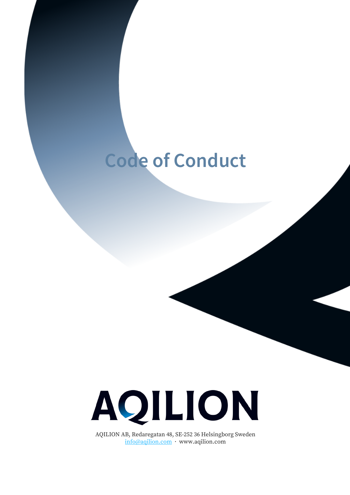# **Code of Conduct**



AQILION AB, Redaregatan 48, SE-252 36 Helsingborg Sweden info@aqilion.com · www.aqilion.com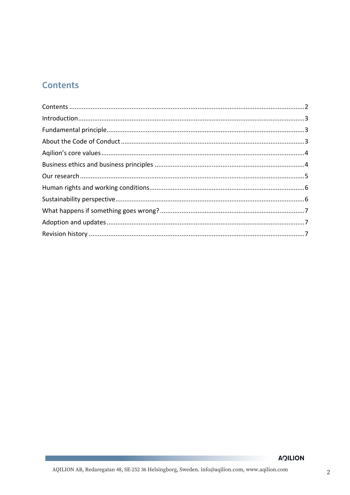# **Contents**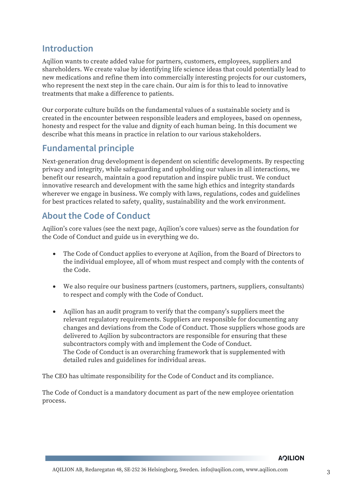# **Introduction**

Aqilion wants to create added value for partners, customers, employees, suppliers and shareholders. We create value by identifying life science ideas that could potentially lead to new medications and refine them into commercially interesting projects for our customers, who represent the next step in the care chain. Our aim is for this to lead to innovative treatments that make a difference to patients.

Our corporate culture builds on the fundamental values of a sustainable society and is created in the encounter between responsible leaders and employees, based on openness, honesty and respect for the value and dignity of each human being. In this document we describe what this means in practice in relation to our various stakeholders.

# **Fundamental principle**

Next-generation drug development is dependent on scientific developments. By respecting privacy and integrity, while safeguarding and upholding our values in all interactions, we benefit our research, maintain a good reputation and inspire public trust. We conduct innovative research and development with the same high ethics and integrity standards wherever we engage in business. We comply with laws, regulations, codes and guidelines for best practices related to safety, quality, sustainability and the work environment.

# **About the Code of Conduct**

Aqilion's core values (see the next page, Aqilion's core values) serve as the foundation for the Code of Conduct and guide us in everything we do.

- The Code of Conduct applies to everyone at Aqilion, from the Board of Directors to the individual employee, all of whom must respect and comply with the contents of the Code.
- We also require our business partners (customers, partners, suppliers, consultants) to respect and comply with the Code of Conduct.
- Aqilion has an audit program to verify that the company's suppliers meet the relevant regulatory requirements. Suppliers are responsible for documenting any changes and deviations from the Code of Conduct. Those suppliers whose goods are delivered to Aqilion by subcontractors are responsible for ensuring that these subcontractors comply with and implement the Code of Conduct. The Code of Conduct is an overarching framework that is supplemented with detailed rules and guidelines for individual areas.

The CEO has ultimate responsibility for the Code of Conduct and its compliance.

The Code of Conduct is a mandatory document as part of the new employee orientation process.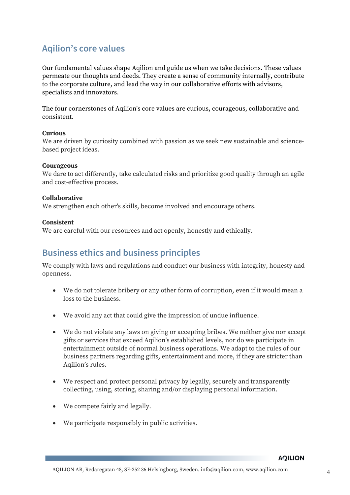# **Aqilion's core values**

Our fundamental values shape Aqilion and guide us when we take decisions. These values permeate our thoughts and deeds. They create a sense of community internally, contribute to the corporate culture, and lead the way in our collaborative efforts with advisors, specialists and innovators.

The four cornerstones of Aqilion's core values are curious, courageous, collaborative and consistent.

## **Curious**

We are driven by curiosity combined with passion as we seek new sustainable and sciencebased project ideas.

#### **Courageous**

We dare to act differently, take calculated risks and prioritize good quality through an agile and cost-effective process.

#### **Collaborative**

We strengthen each other's skills, become involved and encourage others.

#### **Consistent**

We are careful with our resources and act openly, honestly and ethically.

## **Business ethics and business principles**

We comply with laws and regulations and conduct our business with integrity, honesty and openness.

- We do not tolerate bribery or any other form of corruption, even if it would mean a loss to the business.
- We avoid any act that could give the impression of undue influence.
- We do not violate any laws on giving or accepting bribes. We neither give nor accept gifts or services that exceed Aqilion's established levels, nor do we participate in entertainment outside of normal business operations. We adapt to the rules of our business partners regarding gifts, entertainment and more, if they are stricter than Aqilion's rules.
- We respect and protect personal privacy by legally, securely and transparently collecting, using, storing, sharing and/or displaying personal information.
- We compete fairly and legally.
- We participate responsibly in public activities.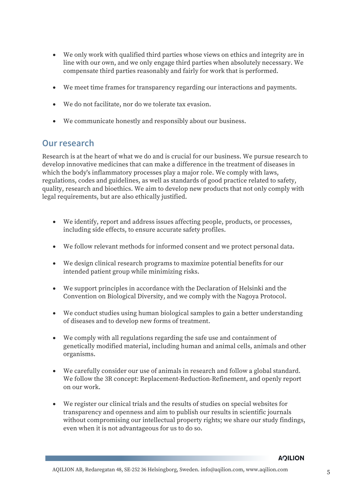- We only work with qualified third parties whose views on ethics and integrity are in line with our own, and we only engage third parties when absolutely necessary. We compensate third parties reasonably and fairly for work that is performed.
- We meet time frames for transparency regarding our interactions and payments.
- We do not facilitate, nor do we tolerate tax evasion.
- We communicate honestly and responsibly about our business.

## **Our research**

Research is at the heart of what we do and is crucial for our business. We pursue research to develop innovative medicines that can make a difference in the treatment of diseases in which the body's inflammatory processes play a major role. We comply with laws, regulations, codes and guidelines, as well as standards of good practice related to safety, quality, research and bioethics. We aim to develop new products that not only comply with legal requirements, but are also ethically justified.

- We identify, report and address issues affecting people, products, or processes, including side effects, to ensure accurate safety profiles.
- We follow relevant methods for informed consent and we protect personal data.
- We design clinical research programs to maximize potential benefits for our intended patient group while minimizing risks.
- We support principles in accordance with the Declaration of Helsinki and the Convention on Biological Diversity, and we comply with the Nagoya Protocol.
- We conduct studies using human biological samples to gain a better understanding of diseases and to develop new forms of treatment.
- We comply with all regulations regarding the safe use and containment of genetically modified material, including human and animal cells, animals and other organisms.
- We carefully consider our use of animals in research and follow a global standard. We follow the 3R concept: Replacement-Reduction-Refinement, and openly report on our work.
- We register our clinical trials and the results of studies on special websites for transparency and openness and aim to publish our results in scientific journals without compromising our intellectual property rights; we share our study findings, even when it is not advantageous for us to do so.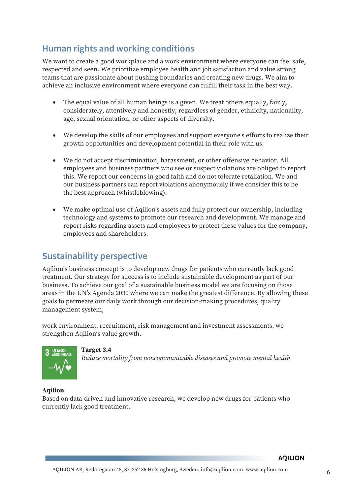# **Human rights and working conditions**

We want to create a good workplace and a work environment where everyone can feel safe, respected and seen. We prioritize employee health and job satisfaction and value strong teams that are passionate about pushing boundaries and creating new drugs. We aim to achieve an inclusive environment where everyone can fulfill their task in the best way.

- The equal value of all human beings is a given. We treat others equally, fairly, considerately, attentively and honestly, regardless of gender, ethnicity, nationality, age, sexual orientation, or other aspects of diversity.
- We develop the skills of our employees and support everyone's efforts to realize their growth opportunities and development potential in their role with us.
- We do not accept discrimination, harassment, or other offensive behavior. All employees and business partners who see or suspect violations are obliged to report this. We report our concerns in good faith and do not tolerate retaliation. We and our business partners can report violations anonymously if we consider this to be the best approach (whistleblowing).
- We make optimal use of Aqilion's assets and fully protect our ownership, including technology and systems to promote our research and development. We manage and report risks regarding assets and employees to protect these values for the company, employees and shareholders.

# **Sustainability perspective**

Aqilion's business concept is to develop new drugs for patients who currently lack good treatment. Our strategy for success is to include sustainable development as part of our business. To achieve our goal of a sustainable business model we are focusing on those areas in the UN's Agenda 2030 where we can make the greatest difference. By allowing these goals to permeate our daily work through our decision-making procedures, quality management system,

work environment, recruitment, risk management and investment assessments, we strengthen Aqilion's value growth.



**Target 3.4** *Reduce mortality from noncommunicable diseases and promote mental health*

## **Aqilion**

Based on data-driven and innovative research, we develop new drugs for patients who currently lack good treatment.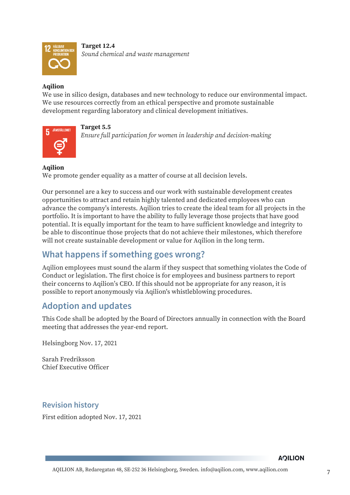

**Target 12.4** *Sound chemical and waste management*

## **Aqilion**

We use in silico design, databases and new technology to reduce our environmental impact. We use resources correctly from an ethical perspective and promote sustainable development regarding laboratory and clinical development initiatives.



**Target 5.5** *Ensure full participation for women in leadership and decision-making*

## **Aqilion**

We promote gender equality as a matter of course at all decision levels.

Our personnel are a key to success and our work with sustainable development creates opportunities to attract and retain highly talented and dedicated employees who can advance the company's interests. Aqilion tries to create the ideal team for all projects in the portfolio. It is important to have the ability to fully leverage those projects that have good potential. It is equally important for the team to have sufficient knowledge and integrity to be able to discontinue those projects that do not achieve their milestones, which therefore will not create sustainable development or value for Aqilion in the long term.

# **What happens if something goes wrong?**

Aqilion employees must sound the alarm if they suspect that something violates the Code of Conduct or legislation. The first choice is for employees and business partners to report their concerns to Aqilion's CEO. If this should not be appropriate for any reason, it is possible to report anonymously via Aqilion's whistleblowing procedures.

## **Adoption and updates**

This Code shall be adopted by the Board of Directors annually in connection with the Board meeting that addresses the year-end report.

Helsingborg Nov. 17, 2021

Sarah Fredriksson Chief Executive Officer

## **Revision history**

First edition adopted Nov. 17, 2021